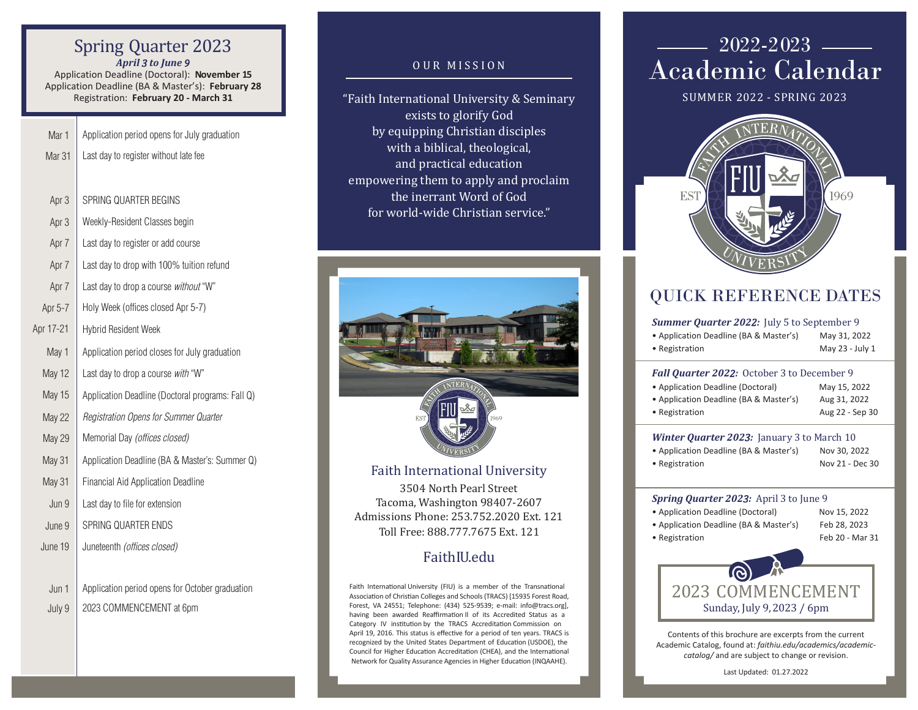### Spring Quarter 2023 *April 3 to June 9*

Application Deadline (Doctoral): **November 15**  Application Deadline (BA & Master's): **February 28** Registration: **February 20 - March 31**

- Application period opens for July graduation Mar 1
- Last day to register without late fee Mar 31
- SPRING QUARTER BEGINS Apr 3
- Weekly-Resident Classes begin Apr 3
- Last day to register or add course Apr 7
- Last day to drop with 100% tuition refund Apr 7
- Last day to drop a course *without* "W" Apr 7
- Holy Week (offices closed Apr 5-7) Apr 5-7
- Hybrid Resident Week Apr 17-21
- Application period closes for July graduation May 1
- Last day to drop a course *with* "W" May 12
- Application Deadline (Doctoral programs: Fall Q) May 15
- *Registration Opens for Summer Quarter*  May 22
- Memorial Day *(offices closed)* May 29
- Application Deadline (BA & Master's: Summer Q) May 31
- Financial Aid Application Deadline May 31
- Last day to file for extension Jun 9
- SPRING OUARTER ENDS June 9
- Juneteenth (offices closed) June 19
- Application period opens for October graduation Jun 1
- 2023 COMMENCEMENT at 6pm July 9

### OUR MISSION

"Faith International University & Seminary exists to glorify God by equipping Christian disciples with a biblical, theological, and practical education empowering them to apply and proclaim the inerrant Word of God for world-wide Christian service."



3504 North Pearl Street Tacoma, Washington 98407-2607 Admissions Phone: 253.752.2020 Ext. 121 Toll Free: 888.777.7675 Ext. 121

## FaithIU.edu

Faith International University (FIU) is a member of the Transnational Association of Christian Colleges and Schools (TRACS) [15935 Forest Road, Forest, VA 24551; Telephone: (434) 525-9539; e-mail: info@tracs.org], having been awarded Reaffirmation Il of its Accredited Status as a Category IV institution by the TRACS Accreditation Commission on April 19, 2016. This status is effective for a period of ten years. TRACS is recognized by the United States Department of Education (USDOE), the Council for Higher Education Accreditation (CHEA), and the International Network for Quality Assurance Agencies in Higher Education (INQAAHE).

## $2022 - 2023$  — Academic Calendar

SUMMER 2022 - SPRING 2023



## QUICK REFERENCE DATES

#### *Summer Quarter 2022:* July 5 to September 9

| • Application Deadline (BA & Master's) | May 31, 2022    |
|----------------------------------------|-----------------|
| • Registration                         | May 23 - July 1 |

#### *Fall Quarter 2022:* October 3 to December 9

| • Application Deadline (Doctoral)      | May 15, 2022    |
|----------------------------------------|-----------------|
| • Application Deadline (BA & Master's) | Aug 31, 2022    |
| • Registration                         | Aug 22 - Sep 30 |

#### *Winter Quarter 2023:* January 3 to March 10

• Application Deadline (BA & Master's) Nov 30, 2022 • Registration Nov 21 - Dec 30

#### *Spring Quarter 2023:* April 3 to June 9

- Application Deadline (Doctoral) Nov 15, 2022 • Application Deadline (BA & Master's) Feb 28, 2023 • Registration Feb 20 - Mar 31
	-



Contents of this brochure are excerpts from the current Academic Catalog, found at: *faithiu.edu/academics/academiccatalog/* and are subject to change or revision.

Last Updated: 01.27.2022